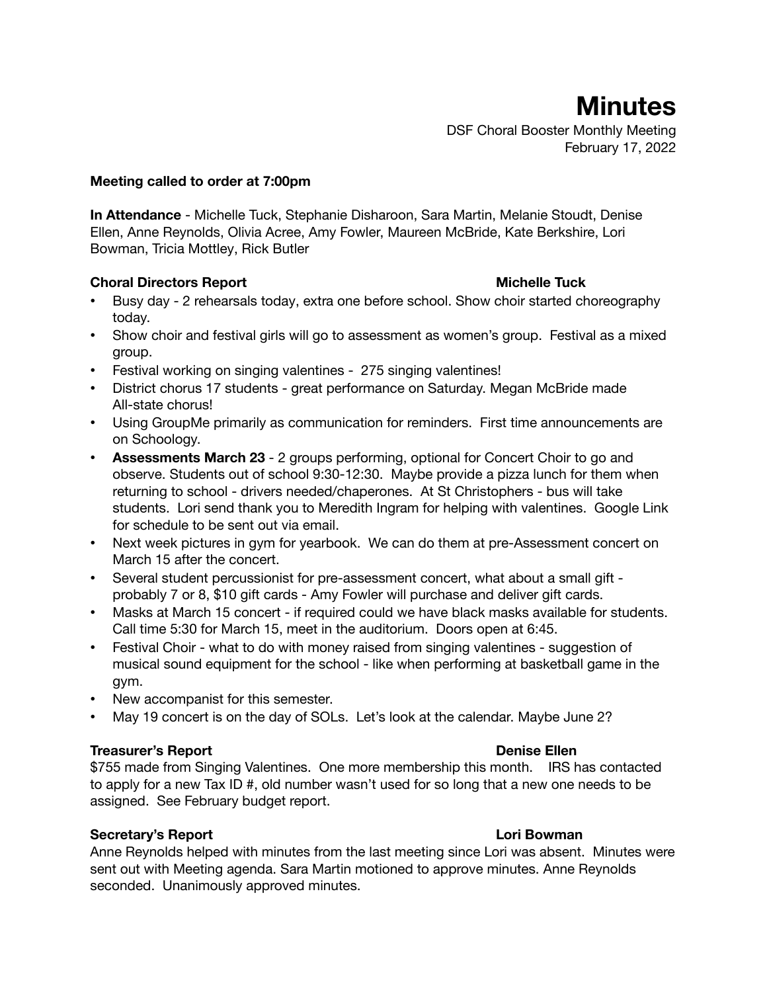**Minutes**

DSF Choral Booster Monthly Meeting February 17, 2022

#### **Meeting called to order at 7:00pm**

**In Attendance** - Michelle Tuck, Stephanie Disharoon, Sara Martin, Melanie Stoudt, Denise Ellen, Anne Reynolds, Olivia Acree, Amy Fowler, Maureen McBride, Kate Berkshire, Lori Bowman, Tricia Mottley, Rick Butler

#### **Choral Directors Report Michelle Tuck**

- Busy day 2 rehearsals today, extra one before school. Show choir started choreography today.
- Show choir and festival girls will go to assessment as women's group. Festival as a mixed group.
- Festival working on singing valentines 275 singing valentines!
- District chorus 17 students great performance on Saturday. Megan McBride made All-state chorus!
- Using GroupMe primarily as communication for reminders. First time announcements are on Schoology.
- **Assessments March 23** 2 groups performing, optional for Concert Choir to go and observe. Students out of school 9:30-12:30. Maybe provide a pizza lunch for them when returning to school - drivers needed/chaperones. At St Christophers - bus will take students. Lori send thank you to Meredith Ingram for helping with valentines. Google Link for schedule to be sent out via email.
- Next week pictures in gym for yearbook. We can do them at pre-Assessment concert on March 15 after the concert.
- Several student percussionist for pre-assessment concert, what about a small gift probably 7 or 8, \$10 gift cards - Amy Fowler will purchase and deliver gift cards.
- Masks at March 15 concert if required could we have black masks available for students. Call time 5:30 for March 15, meet in the auditorium. Doors open at 6:45.
- Festival Choir what to do with money raised from singing valentines suggestion of musical sound equipment for the school - like when performing at basketball game in the gym.
- New accompanist for this semester.
- May 19 concert is on the day of SOLs. Let's look at the calendar. Maybe June 2?

#### **Treasurer's Report Denise Ellen**

\$755 made from Singing Valentines. One more membership this month. IRS has contacted to apply for a new Tax ID #, old number wasn't used for so long that a new one needs to be assigned. See February budget report.

### **Secretary's Report Lori Bowman**

Anne Reynolds helped with minutes from the last meeting since Lori was absent. Minutes were sent out with Meeting agenda. Sara Martin motioned to approve minutes. Anne Reynolds seconded. Unanimously approved minutes.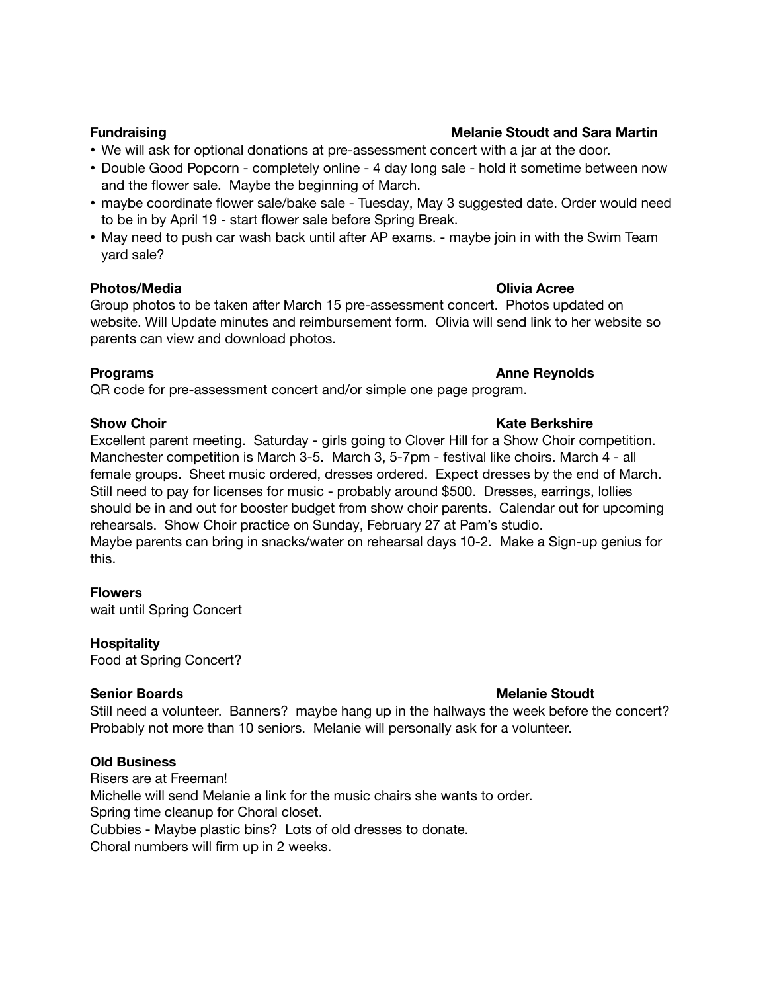# • We will ask for optional donations at pre-assessment concert with a jar at the door.

- Double Good Popcorn completely online 4 day long sale hold it sometime between now and the flower sale. Maybe the beginning of March.
- maybe coordinate flower sale/bake sale Tuesday, May 3 suggested date. Order would need to be in by April 19 - start flower sale before Spring Break.
- May need to push car wash back until after AP exams. maybe join in with the Swim Team yard sale?

### **Photos/Media Olivia Acree**

Group photos to be taken after March 15 pre-assessment concert. Photos updated on website. Will Update minutes and reimbursement form. Olivia will send link to her website so parents can view and download photos.

QR code for pre-assessment concert and/or simple one page program.

Excellent parent meeting. Saturday - girls going to Clover Hill for a Show Choir competition. Manchester competition is March 3-5. March 3, 5-7pm - festival like choirs. March 4 - all female groups. Sheet music ordered, dresses ordered. Expect dresses by the end of March. Still need to pay for licenses for music - probably around \$500. Dresses, earrings, lollies should be in and out for booster budget from show choir parents. Calendar out for upcoming rehearsals. Show Choir practice on Sunday, February 27 at Pam's studio. Maybe parents can bring in snacks/water on rehearsal days 10-2. Make a Sign-up genius for this.

### **Flowers**

wait until Spring Concert

### **Hospitality**

Food at Spring Concert?

## **Senior Boards Melanie Stoudt**

Still need a volunteer. Banners? maybe hang up in the hallways the week before the concert? Probably not more than 10 seniors. Melanie will personally ask for a volunteer.

### **Old Business**

Risers are at Freeman! Michelle will send Melanie a link for the music chairs she wants to order. Spring time cleanup for Choral closet. Cubbies - Maybe plastic bins? Lots of old dresses to donate. Choral numbers will firm up in 2 weeks.

### **Fundraising Melanie Stoudt and Sara Martin**

# **Programs Anne Reynolds**

### **Show Choir Kate Berkshire**